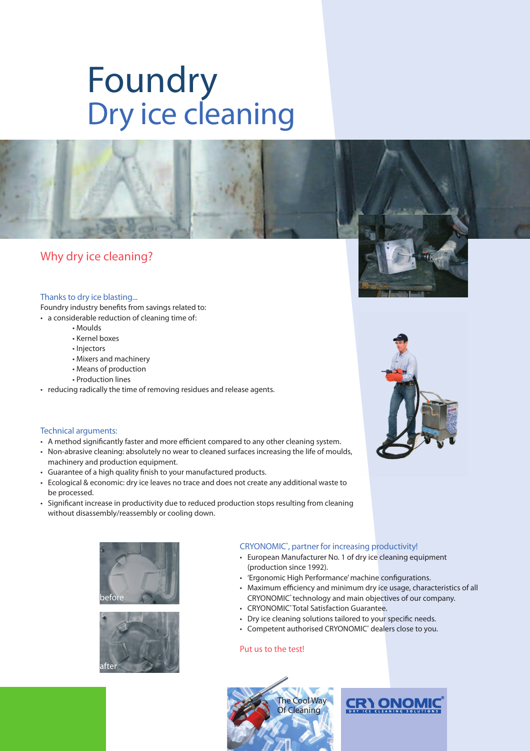# Foundry Dry ice cleaning



### Thanks to dry ice blasting...

Foundry industry benefits from savings related to:

- a considerable reduction of cleaning time of:
	- Moulds
	- Kernel boxes
	- Injectors
	- Mixers and machinery
	- Means of production
	- Production lines
- reducing radically the time of removing residues and release agents.

#### Technical arguments:

- A method significantly faster and more efficient compared to any other cleaning system.
- Non-abrasive cleaning: absolutely no wear to cleaned surfaces increasing the life of moulds, machinery and production equipment.
- Guarantee of a high quality finish to your manufactured products.
- Ecological & economic: dry ice leaves no trace and does not create any additional waste to be processed.
- Significant increase in productivity due to reduced production stops resulting from cleaning without disassembly/reassembly or cooling down.





## CRYONOMIC®, partner for increasing productivity!

- European Manufacturer No. 1 of dry ice cleaning equipment (production since 1992).
- 'Ergonomic High Performance' machine configurations.
- Maximum efficiency and minimum dry ice usage, characteristics of all CRYONOMIC® technology and main objectives of our company.
- CRYONOMIC<sup>®</sup> Total Satisfaction Guarantee.
- Dry ice cleaning solutions tailored to your specific needs.
- Competent authorised CRYONOMIC<sup>®</sup> dealers close to you.

#### Put us to the test!